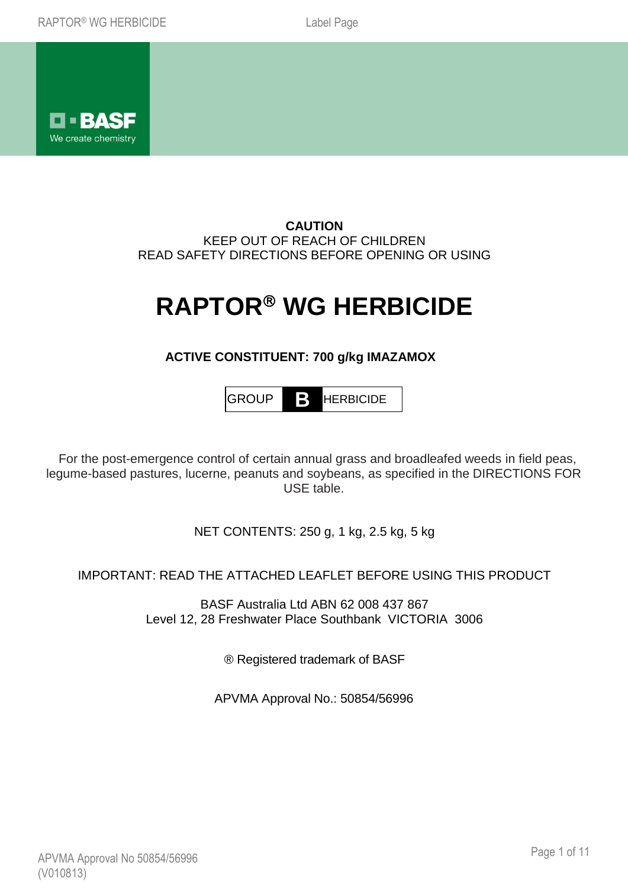

**CAUTION** KEEP OUT OF REACH OF CHILDREN READ SAFETY DIRECTIONS BEFORE OPENING OR USING

# **RAPTOR WG HERBICIDE**

## **ACTIVE CONSTITUENT: 700 g/kg IMAZAMOX**

GROUP **B** HERBICIDE

 For the post-emergence control of certain annual grass and broadleafed weeds in field peas, legume-based pastures, lucerne, peanuts and soybeans, as specified in the DIRECTIONS FOR USE table.

NET CONTENTS: 250 g, 1 kg, 2.5 kg, 5 kg

IMPORTANT: READ THE ATTACHED LEAFLET BEFORE USING THIS PRODUCT

BASF Australia Ltd ABN 62 008 437 867 Level 12, 28 Freshwater Place Southbank VICTORIA 3006

® Registered trademark of BASF

APVMA Approval No.: 50854/56996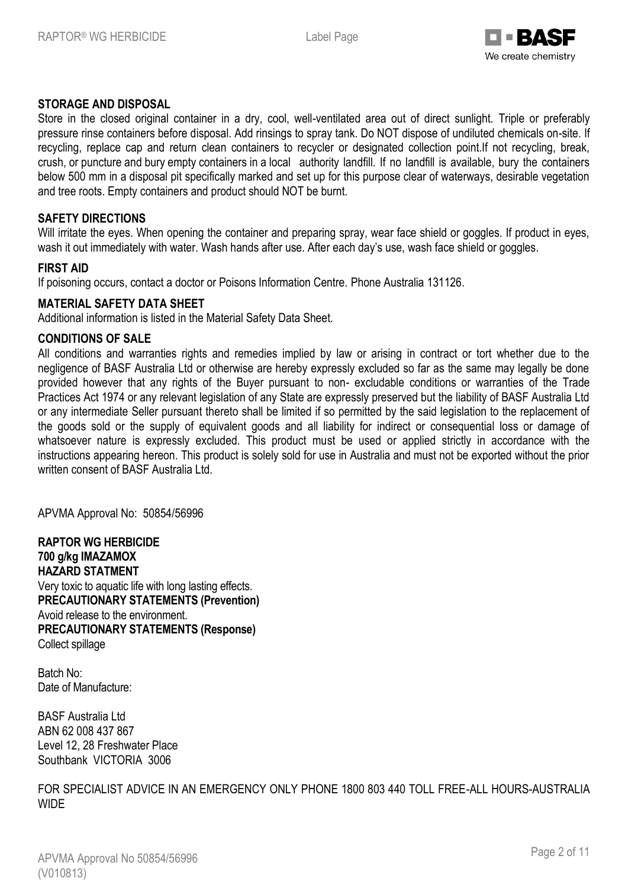

## **STORAGE AND DISPOSAL**

Store in the closed original container in a dry, cool, well-ventilated area out of direct sunlight. Triple or preferably pressure rinse containers before disposal. Add rinsings to spray tank. Do NOT dispose of undiluted chemicals on-site. If recycling, replace cap and return clean containers to recycler or designated collection point.If not recycling, break, crush, or puncture and bury empty containers in a local authority landfill. If no landfill is available, bury the containers below 500 mm in a disposal pit specifically marked and set up for this purpose clear of waterways, desirable vegetation and tree roots. Empty containers and product should NOT be burnt.

#### **SAFETY DIRECTIONS**

Will irritate the eyes. When opening the container and preparing spray, wear face shield or goggles. If product in eyes, wash it out immediately with water. Wash hands after use. After each day's use, wash face shield or goggles.

## **FIRST AID**

If poisoning occurs, contact a doctor or Poisons Information Centre. Phone Australia 131126.

#### **MATERIAL SAFETY DATA SHEET**

Additional information is listed in the Material Safety Data Sheet.

#### **CONDITIONS OF SALE**

All conditions and warranties rights and remedies implied by law or arising in contract or tort whether due to the negligence of BASF Australia Ltd or otherwise are hereby expressly excluded so far as the same may legally be done provided however that any rights of the Buyer pursuant to non- excludable conditions or warranties of the Trade Practices Act 1974 or any relevant legislation of any State are expressly preserved but the liability of BASF Australia Ltd or any intermediate Seller pursuant thereto shall be limited if so permitted by the said legislation to the replacement of the goods sold or the supply of equivalent goods and all liability for indirect or consequential loss or damage of whatsoever nature is expressly excluded. This product must be used or applied strictly in accordance with the instructions appearing hereon. This product is solely sold for use in Australia and must not be exported without the prior written consent of BASF Australia Ltd.

APVMA Approval No: 50854/56996

**RAPTOR WG HERBICIDE 700 g/kg IMAZAMOX HAZARD STATMENT** Very toxic to aquatic life with long lasting effects. **PRECAUTIONARY STATEMENTS (Prevention)** Avoid release to the environment. **PRECAUTIONARY STATEMENTS (Response)** Collect spillage

Batch No: Date of Manufacture:

BASF Australia Ltd ABN 62 008 437 867 Level 12, 28 Freshwater Place Southbank VICTORIA 3006

FOR SPECIALIST ADVICE IN AN EMERGENCY ONLY PHONE 1800 803 440 TOLL FREE-ALL HOURS-AUSTRALIA **WIDE**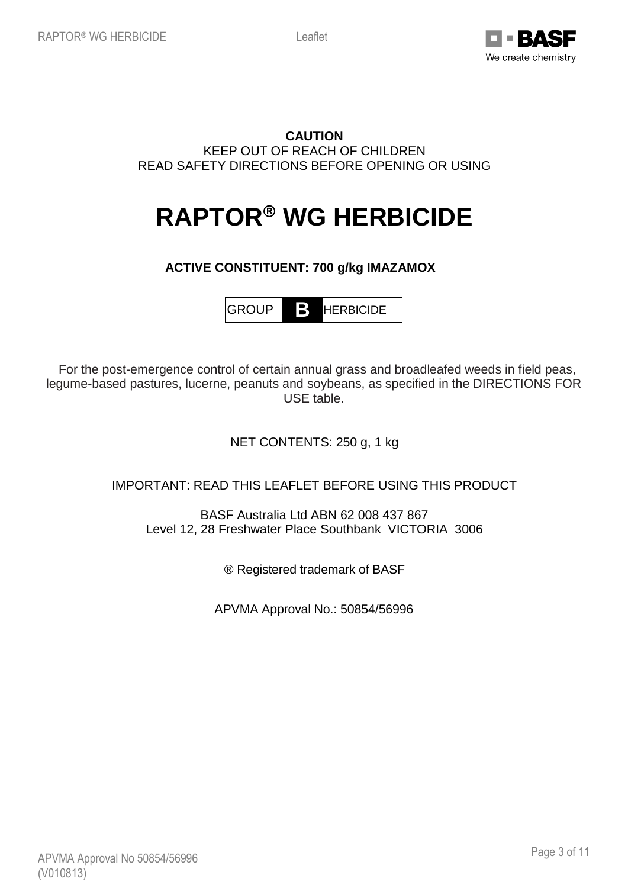

## **CAUTION** KEEP OUT OF REACH OF CHILDREN READ SAFETY DIRECTIONS BEFORE OPENING OR USING

# **RAPTOR® WG HERBICIDE**

## **ACTIVE CONSTITUENT: 700 g/kg IMAZAMOX**

GROUP **B** HERBICIDE

 For the post-emergence control of certain annual grass and broadleafed weeds in field peas, legume-based pastures, lucerne, peanuts and soybeans, as specified in the DIRECTIONS FOR USE table.

## NET CONTENTS: 250 g, 1 kg

## IMPORTANT: READ THIS LEAFLET BEFORE USING THIS PRODUCT

BASF Australia Ltd ABN 62 008 437 867 Level 12, 28 Freshwater Place Southbank VICTORIA 3006

® Registered trademark of BASF

APVMA Approval No.: 50854/56996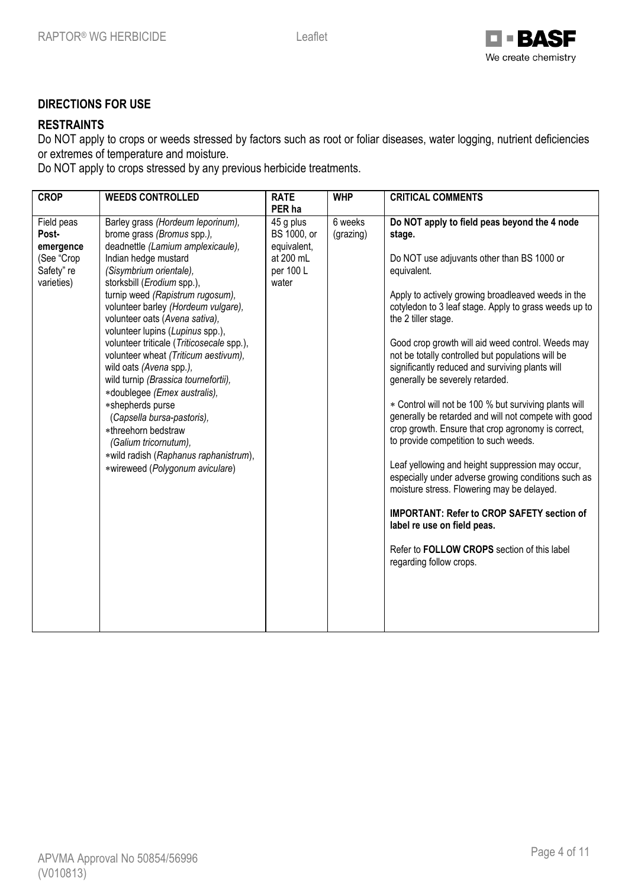

## **DIRECTIONS FOR USE**

## **RESTRAINTS**

Do NOT apply to crops or weeds stressed by factors such as root or foliar diseases, water logging, nutrient deficiencies or extremes of temperature and moisture.

Do NOT apply to crops stressed by any previous herbicide treatments.

| <b>CROP</b>                                                                | <b>WEEDS CONTROLLED</b>                                                                                                                                                                                                                                                                                                                                                                                                                                                                                                                                                                                                                                                                                      | <b>RATE</b>                                                                          | <b>WHP</b>           | <b>CRITICAL COMMENTS</b>                                                                                                                                                                                                                                                                                                                                                                                                                                                                                                                                                                                                                                                                                                                                                                                                                                                                                                                                                                         |
|----------------------------------------------------------------------------|--------------------------------------------------------------------------------------------------------------------------------------------------------------------------------------------------------------------------------------------------------------------------------------------------------------------------------------------------------------------------------------------------------------------------------------------------------------------------------------------------------------------------------------------------------------------------------------------------------------------------------------------------------------------------------------------------------------|--------------------------------------------------------------------------------------|----------------------|--------------------------------------------------------------------------------------------------------------------------------------------------------------------------------------------------------------------------------------------------------------------------------------------------------------------------------------------------------------------------------------------------------------------------------------------------------------------------------------------------------------------------------------------------------------------------------------------------------------------------------------------------------------------------------------------------------------------------------------------------------------------------------------------------------------------------------------------------------------------------------------------------------------------------------------------------------------------------------------------------|
| Field peas<br>Post-<br>emergence<br>(See "Crop<br>Safety" re<br>varieties) | Barley grass (Hordeum leporinum),<br>brome grass (Bromus spp.),<br>deadnettle (Lamium amplexicaule),<br>Indian hedge mustard<br>(Sisymbrium orientale),<br>storksbill (Erodium spp.),<br>turnip weed (Rapistrum rugosum),<br>volunteer barley (Hordeum vulgare),<br>volunteer oats (Avena sativa),<br>volunteer lupins (Lupinus spp.),<br>volunteer triticale (Triticosecale spp.),<br>volunteer wheat (Triticum aestivum),<br>wild oats (Avena spp.),<br>wild turnip (Brassica tournefortii),<br>*doublegee (Emex australis),<br>*shepherds purse<br>(Capsella bursa-pastoris),<br>*threehorn bedstraw<br>(Galium tricornutum),<br>*wild radish (Raphanus raphanistrum),<br>*wireweed (Polygonum aviculare) | PER ha<br>45 g plus<br>BS 1000, or<br>equivalent,<br>at 200 mL<br>per 100 L<br>water | 6 weeks<br>(grazing) | Do NOT apply to field peas beyond the 4 node<br>stage.<br>Do NOT use adjuvants other than BS 1000 or<br>equivalent.<br>Apply to actively growing broadleaved weeds in the<br>cotyledon to 3 leaf stage. Apply to grass weeds up to<br>the 2 tiller stage.<br>Good crop growth will aid weed control. Weeds may<br>not be totally controlled but populations will be<br>significantly reduced and surviving plants will<br>generally be severely retarded.<br>* Control will not be 100 % but surviving plants will<br>generally be retarded and will not compete with good<br>crop growth. Ensure that crop agronomy is correct,<br>to provide competition to such weeds.<br>Leaf yellowing and height suppression may occur,<br>especially under adverse growing conditions such as<br>moisture stress. Flowering may be delayed.<br><b>IMPORTANT: Refer to CROP SAFETY section of</b><br>label re use on field peas.<br>Refer to FOLLOW CROPS section of this label<br>regarding follow crops. |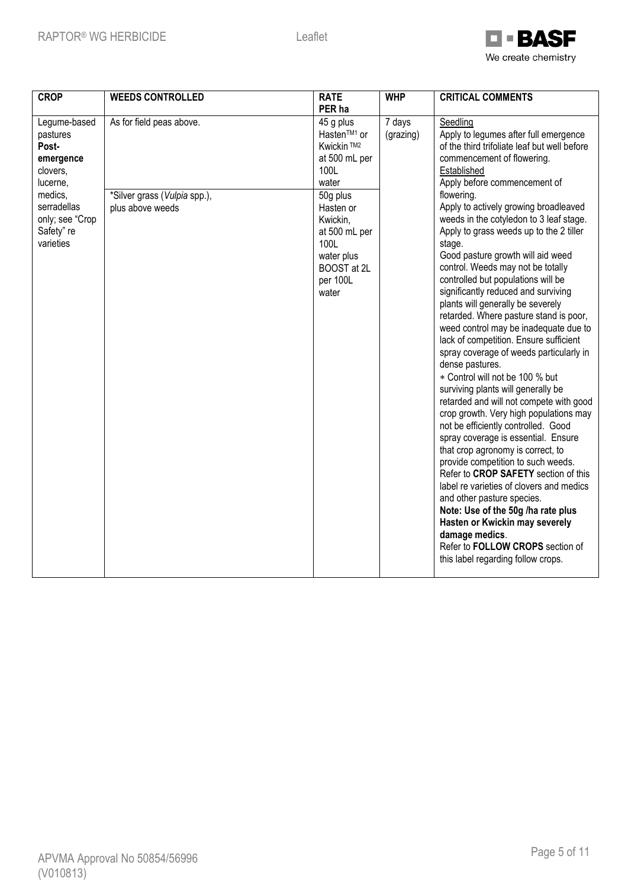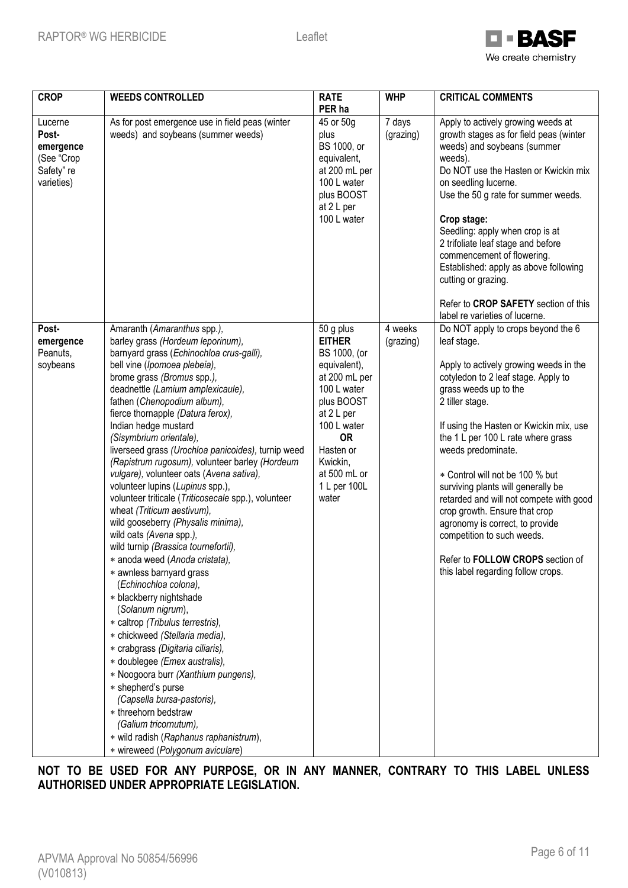

| <b>CROP</b>                                                             | <b>WEEDS CONTROLLED</b>                                                                                                                                                                                                                                                                                                                                                                                                                                                                                                                                                                                                                                                                                                                                                                                                                                                                                                                                                                                                                                                                                                                                                                                                                   | <b>RATE</b><br>PER ha                                                                                                                                                                                                | <b>WHP</b>           | <b>CRITICAL COMMENTS</b>                                                                                                                                                                                                                                                                                                                                                                                                                                                                                                                                                                                                |
|-------------------------------------------------------------------------|-------------------------------------------------------------------------------------------------------------------------------------------------------------------------------------------------------------------------------------------------------------------------------------------------------------------------------------------------------------------------------------------------------------------------------------------------------------------------------------------------------------------------------------------------------------------------------------------------------------------------------------------------------------------------------------------------------------------------------------------------------------------------------------------------------------------------------------------------------------------------------------------------------------------------------------------------------------------------------------------------------------------------------------------------------------------------------------------------------------------------------------------------------------------------------------------------------------------------------------------|----------------------------------------------------------------------------------------------------------------------------------------------------------------------------------------------------------------------|----------------------|-------------------------------------------------------------------------------------------------------------------------------------------------------------------------------------------------------------------------------------------------------------------------------------------------------------------------------------------------------------------------------------------------------------------------------------------------------------------------------------------------------------------------------------------------------------------------------------------------------------------------|
| Lucerne<br>Post-<br>emergence<br>(See "Crop<br>Safety" re<br>varieties) | As for post emergence use in field peas (winter<br>weeds) and soybeans (summer weeds)                                                                                                                                                                                                                                                                                                                                                                                                                                                                                                                                                                                                                                                                                                                                                                                                                                                                                                                                                                                                                                                                                                                                                     | 45 or 50g<br>plus<br>BS 1000, or<br>equivalent,<br>at 200 mL per<br>100 L water<br>plus BOOST<br>at 2 L per<br>100 L water                                                                                           | 7 days<br>(grazing)  | Apply to actively growing weeds at<br>growth stages as for field peas (winter<br>weeds) and soybeans (summer<br>weeds).<br>Do NOT use the Hasten or Kwickin mix<br>on seedling lucerne.<br>Use the 50 g rate for summer weeds.<br>Crop stage:<br>Seedling: apply when crop is at<br>2 trifoliate leaf stage and before<br>commencement of flowering.<br>Established: apply as above following<br>cutting or grazing.<br>Refer to CROP SAFETY section of this                                                                                                                                                            |
| Post-<br>emergence<br>Peanuts,<br>soybeans                              | Amaranth (Amaranthus spp.),<br>barley grass (Hordeum leporinum),<br>barnyard grass (Echinochloa crus-galli),<br>bell vine (Ipomoea plebeia),<br>brome grass (Bromus spp.),<br>deadnettle (Lamium amplexicaule),<br>fathen (Chenopodium album),<br>fierce thornapple (Datura ferox),<br>Indian hedge mustard<br>(Sisymbrium orientale),<br>liverseed grass (Urochloa panicoides), turnip weed<br>(Rapistrum rugosum), volunteer barley (Hordeum<br>vulgare), volunteer oats (Avena sativa),<br>volunteer lupins (Lupinus spp.),<br>volunteer triticale (Triticosecale spp.), volunteer<br>wheat (Triticum aestivum),<br>wild gooseberry (Physalis minima),<br>wild oats (Avena spp.),<br>wild turnip (Brassica tournefortii),<br>* anoda weed (Anoda cristata),<br>* awnless barnyard grass<br>(Echinochloa colona),<br>* blackberry nightshade<br>(Solanum nigrum),<br>* caltrop (Tribulus terrestris),<br>* chickweed (Stellaria media),<br>* crabgrass (Digitaria ciliaris),<br>* doublegee (Emex australis),<br>* Noogoora burr (Xanthium pungens),<br>* shepherd's purse<br>(Capsella bursa-pastoris),<br>* threehorn bedstraw<br>(Galium tricornutum),<br>* wild radish (Raphanus raphanistrum),<br>* wireweed (Polygonum aviculare) | 50 g plus<br><b>EITHER</b><br>BS 1000, (or<br>equivalent),<br>at 200 mL per<br>100 L water<br>plus BOOST<br>at 2 L per<br>100 L water<br><b>OR</b><br>Hasten or<br>Kwickin,<br>at 500 mL or<br>1 L per 100L<br>water | 4 weeks<br>(grazing) | label re varieties of lucerne.<br>Do NOT apply to crops beyond the 6<br>leaf stage.<br>Apply to actively growing weeds in the<br>cotyledon to 2 leaf stage. Apply to<br>grass weeds up to the<br>2 tiller stage.<br>If using the Hasten or Kwickin mix, use<br>the 1 L per 100 L rate where grass<br>weeds predominate.<br>* Control will not be 100 % but<br>surviving plants will generally be<br>retarded and will not compete with good<br>crop growth. Ensure that crop<br>agronomy is correct, to provide<br>competition to such weeds.<br>Refer to FOLLOW CROPS section of<br>this label regarding follow crops. |

**NOT TO BE USED FOR ANY PURPOSE, OR IN ANY MANNER, CONTRARY TO THIS LABEL UNLESS AUTHORISED UNDER APPROPRIATE LEGISLATION.**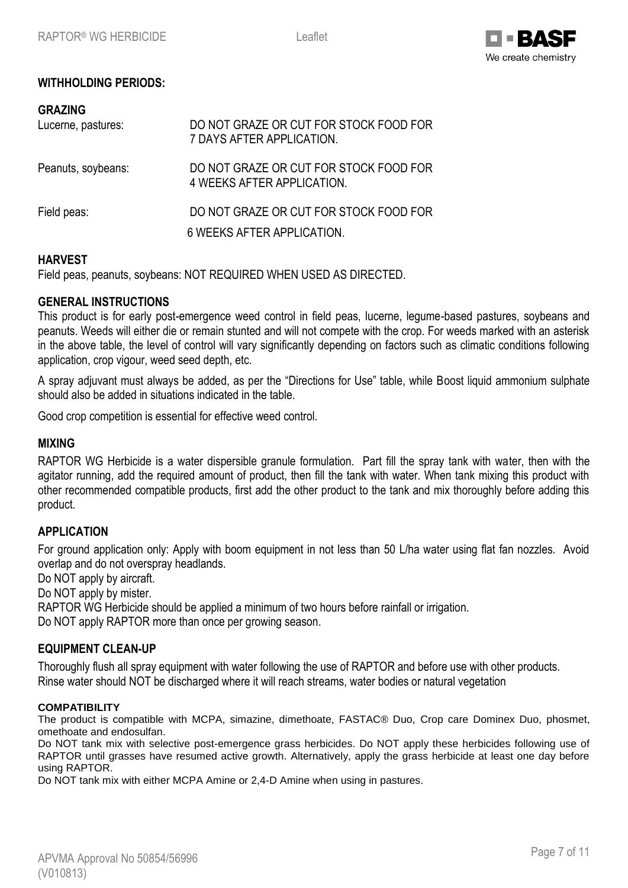

## **WITHHOLDING PERIODS:**

| <b>GRAZING</b><br>Lucerne, pastures: | DO NOT GRAZE OR CUT FOR STOCK FOOD FOR<br>7 DAYS AFTER APPLICATION.  |
|--------------------------------------|----------------------------------------------------------------------|
| Peanuts, soybeans:                   | DO NOT GRAZE OR CUT FOR STOCK FOOD FOR<br>4 WEEKS AFTER APPLICATION. |
| Field peas:                          | DO NOT GRAZE OR CUT FOR STOCK FOOD FOR<br>6 WEEKS AFTER APPLICATION. |

## **HARVEST**

Field peas, peanuts, soybeans: NOT REQUIRED WHEN USED AS DIRECTED.

## **GENERAL INSTRUCTIONS**

This product is for early post-emergence weed control in field peas, lucerne, legume-based pastures, soybeans and peanuts. Weeds will either die or remain stunted and will not compete with the crop. For weeds marked with an asterisk in the above table, the level of control will vary significantly depending on factors such as climatic conditions following application, crop vigour, weed seed depth, etc.

A spray adjuvant must always be added, as per the "Directions for Use" table, while Boost liquid ammonium sulphate should also be added in situations indicated in the table.

Good crop competition is essential for effective weed control.

#### **MIXING**

RAPTOR WG Herbicide is a water dispersible granule formulation. Part fill the spray tank with water, then with the agitator running, add the required amount of product, then fill the tank with water. When tank mixing this product with other recommended compatible products, first add the other product to the tank and mix thoroughly before adding this product.

## **APPLICATION**

For ground application only: Apply with boom equipment in not less than 50 L/ha water using flat fan nozzles. Avoid overlap and do not overspray headlands.

Do NOT apply by aircraft.

Do NOT apply by mister.

RAPTOR WG Herbicide should be applied a minimum of two hours before rainfall or irrigation.

Do NOT apply RAPTOR more than once per growing season.

## **EQUIPMENT CLEAN-UP**

Thoroughly flush all spray equipment with water following the use of RAPTOR and before use with other products. Rinse water should NOT be discharged where it will reach streams, water bodies or natural vegetation

#### **COMPATIBILITY**

The product is compatible with MCPA, simazine, dimethoate, FASTAC® Duo, Crop care Dominex Duo, phosmet, omethoate and endosulfan.

Do NOT tank mix with selective post-emergence grass herbicides. Do NOT apply these herbicides following use of RAPTOR until grasses have resumed active growth. Alternatively, apply the grass herbicide at least one day before using RAPTOR.

Do NOT tank mix with either MCPA Amine or 2,4-D Amine when using in pastures.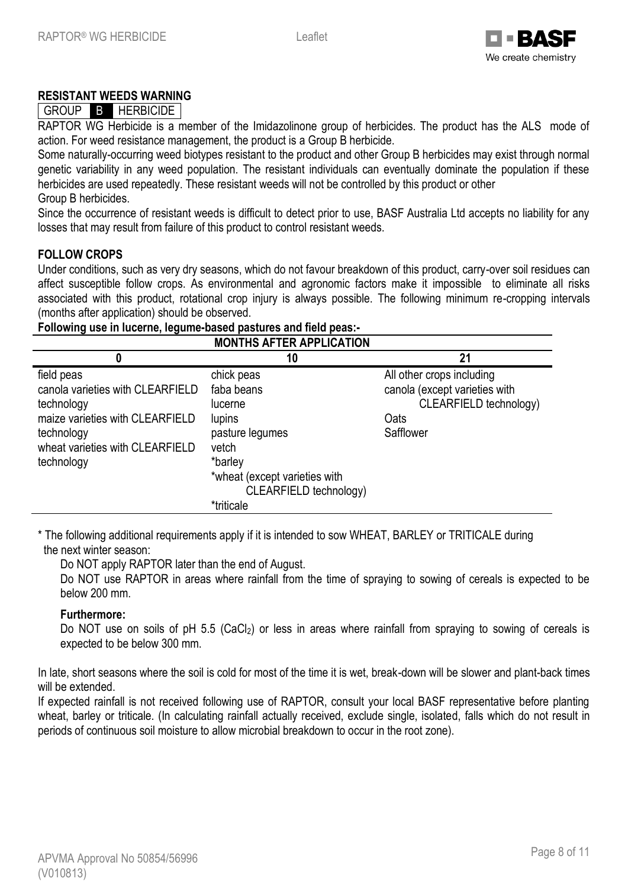

## **RESISTANT WEEDS WARNING**

## GROUP B HERBICIDE

RAPTOR WG Herbicide is a member of the Imidazolinone group of herbicides. The product has the ALS mode of action. For weed resistance management, the product is a Group B herbicide.

Some naturally-occurring weed biotypes resistant to the product and other Group B herbicides may exist through normal genetic variability in any weed population. The resistant individuals can eventually dominate the population if these herbicides are used repeatedly. These resistant weeds will not be controlled by this product or other Group B herbicides.

Since the occurrence of resistant weeds is difficult to detect prior to use, BASF Australia Ltd accepts no liability for any losses that may result from failure of this product to control resistant weeds.

#### **FOLLOW CROPS**

Under conditions, such as very dry seasons, which do not favour breakdown of this product, carry-over soil residues can affect susceptible follow crops. As environmental and agronomic factors make it impossible to eliminate all risks associated with this product, rotational crop injury is always possible. The following minimum re-cropping intervals (months after application) should be observed.

**Following use in lucerne, legume-based pastures and field peas:-**

|                                                                                                                                                                | <b>MONTHS AFTER APPLICATION</b>                                                                                                                               |                                                                                                           |
|----------------------------------------------------------------------------------------------------------------------------------------------------------------|---------------------------------------------------------------------------------------------------------------------------------------------------------------|-----------------------------------------------------------------------------------------------------------|
| 0                                                                                                                                                              | 10                                                                                                                                                            | 21                                                                                                        |
| field peas<br>canola varieties with CLEARFIELD<br>technology<br>maize varieties with CLEARFIELD<br>technology<br>wheat varieties with CLEARFIELD<br>technology | chick peas<br>faba beans<br>lucerne<br>lupins<br>pasture legumes<br>vetch<br>*barley<br>*wheat (except varieties with<br>CLEARFIELD technology)<br>*triticale | All other crops including<br>canola (except varieties with<br>CLEARFIELD technology)<br>Oats<br>Safflower |

\* The following additional requirements apply if it is intended to sow WHEAT, BARLEY or TRITICALE during the next winter season:

Do NOT apply RAPTOR later than the end of August.

Do NOT use RAPTOR in areas where rainfall from the time of spraying to sowing of cereals is expected to be below 200 mm.

#### **Furthermore:**

Do NOT use on soils of pH 5.5 (CaCl<sub>2</sub>) or less in areas where rainfall from spraying to sowing of cereals is expected to be below 300 mm.

In late, short seasons where the soil is cold for most of the time it is wet, break-down will be slower and plant-back times will be extended.

If expected rainfall is not received following use of RAPTOR, consult your local BASF representative before planting wheat, barley or triticale. (In calculating rainfall actually received, exclude single, isolated, falls which do not result in periods of continuous soil moisture to allow microbial breakdown to occur in the root zone).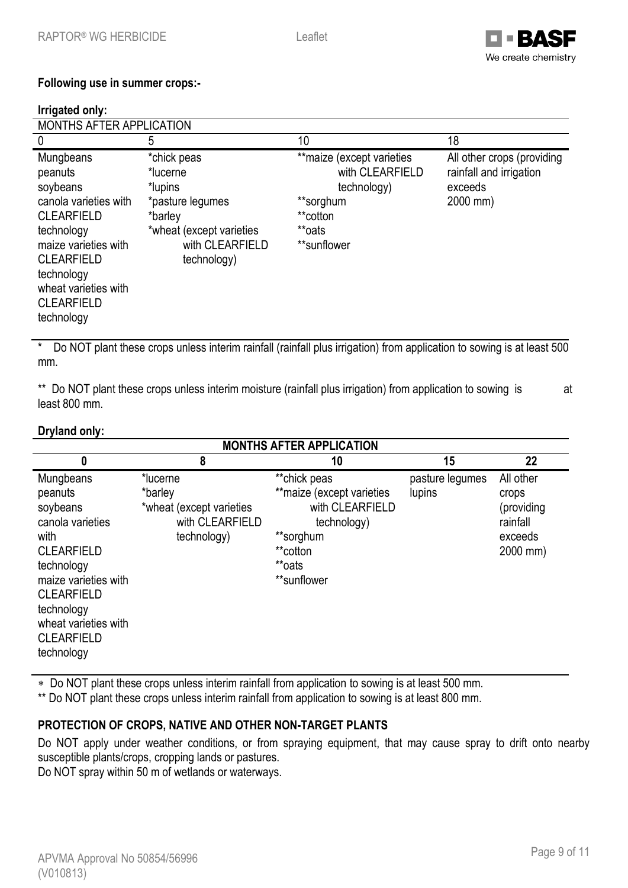

## **Following use in summer crops:-**

#### **Irrigated only:**

| MONTHS AFTER APPLICATION                                                                                                                                                                                           |                                                                                                                                 |                                                                                                                |                                                                              |  |
|--------------------------------------------------------------------------------------------------------------------------------------------------------------------------------------------------------------------|---------------------------------------------------------------------------------------------------------------------------------|----------------------------------------------------------------------------------------------------------------|------------------------------------------------------------------------------|--|
| $\Omega$                                                                                                                                                                                                           | 5                                                                                                                               | 10                                                                                                             | 18                                                                           |  |
| Mungbeans<br>peanuts<br>soybeans<br>canola varieties with<br><b>CLEARFIELD</b><br>technology<br>maize varieties with<br><b>CLEARFIELD</b><br>technology<br>wheat varieties with<br><b>CLEARFIELD</b><br>technology | *chick peas<br>*lucerne<br>*lupins<br>*pasture legumes<br>*barley<br>*wheat (except varieties<br>with CLEARFIELD<br>technology) | ** maize (except varieties<br>with CLEARFIELD<br>technology)<br>**sorghum<br>**cotton<br>**oats<br>**sunflower | All other crops (providing<br>rainfall and irrigation<br>exceeds<br>2000 mm) |  |

\* Do NOT plant these crops unless interim rainfall (rainfall plus irrigation) from application to sowing is at least 500 mm.

\*\* Do NOT plant these crops unless interim moisture (rainfall plus irrigation) from application to sowing is at least 800 mm.

## **Dryland only:**

| <b>MONTHS AFTER APPLICATION</b>                                                                                                                                                                                       |                                                                                   |                                                                                                                                |                           |                                                                     |  |
|-----------------------------------------------------------------------------------------------------------------------------------------------------------------------------------------------------------------------|-----------------------------------------------------------------------------------|--------------------------------------------------------------------------------------------------------------------------------|---------------------------|---------------------------------------------------------------------|--|
| $\boldsymbol{0}$                                                                                                                                                                                                      | 8                                                                                 | 10                                                                                                                             | 15                        | 22                                                                  |  |
| Mungbeans<br>peanuts<br>soybeans<br>canola varieties<br>with<br><b>CLEARFIELD</b><br>technology<br>maize varieties with<br><b>CLEARFIELD</b><br>technology<br>wheat varieties with<br><b>CLEARFIELD</b><br>technology | *lucerne<br>*barley<br>*wheat (except varieties<br>with CLEARFIELD<br>technology) | **chick peas<br>** maize (except varieties<br>with CLEARFIELD<br>technology)<br>**sorghum<br>**cotton<br>**oats<br>**sunflower | pasture legumes<br>lupins | All other<br>crops<br>(providing<br>rainfall<br>exceeds<br>2000 mm) |  |

Do NOT plant these crops unless interim rainfall from application to sowing is at least 500 mm.

\*\* Do NOT plant these crops unless interim rainfall from application to sowing is at least 800 mm.

## **PROTECTION OF CROPS, NATIVE AND OTHER NON-TARGET PLANTS**

Do NOT apply under weather conditions, or from spraying equipment, that may cause spray to drift onto nearby susceptible plants/crops, cropping lands or pastures.

Do NOT spray within 50 m of wetlands or waterways.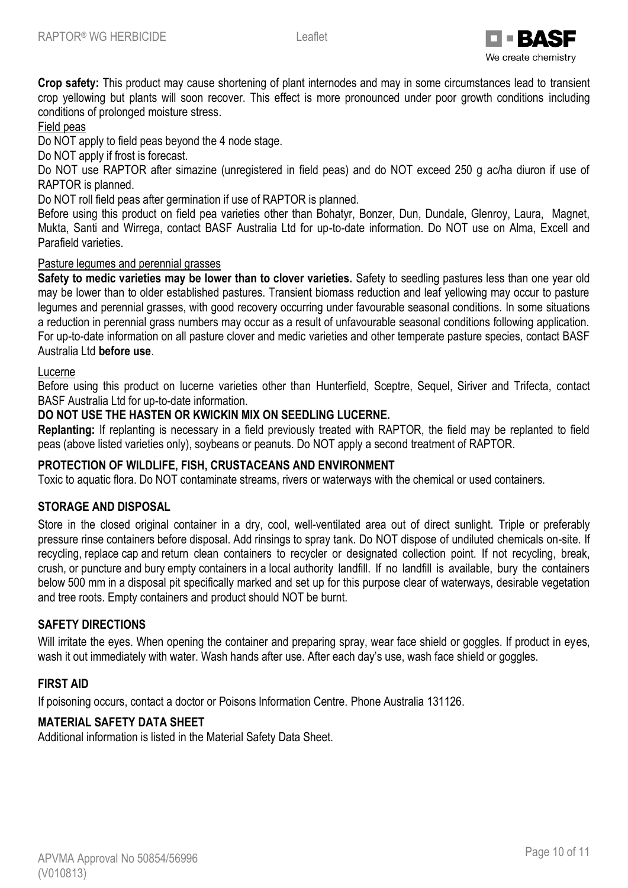

**Crop safety:** This product may cause shortening of plant internodes and may in some circumstances lead to transient crop yellowing but plants will soon recover. This effect is more pronounced under poor growth conditions including conditions of prolonged moisture stress.

## Field peas

Do NOT apply to field peas beyond the 4 node stage.

Do NOT apply if frost is forecast.

Do NOT use RAPTOR after simazine (unregistered in field peas) and do NOT exceed 250 g ac/ha diuron if use of RAPTOR is planned.

Do NOT roll field peas after germination if use of RAPTOR is planned.

Before using this product on field pea varieties other than Bohatyr, Bonzer, Dun, Dundale, Glenroy, Laura, Magnet, Mukta, Santi and Wirrega, contact BASF Australia Ltd for up-to-date information. Do NOT use on Alma, Excell and Parafield varieties.

## Pasture legumes and perennial grasses

**Safety to medic varieties may be lower than to clover varieties.** Safety to seedling pastures less than one year old may be lower than to older established pastures. Transient biomass reduction and leaf yellowing may occur to pasture legumes and perennial grasses, with good recovery occurring under favourable seasonal conditions. In some situations a reduction in perennial grass numbers may occur as a result of unfavourable seasonal conditions following application. For up-to-date information on all pasture clover and medic varieties and other temperate pasture species, contact BASF Australia Ltd **before use**.

## Lucerne

Before using this product on lucerne varieties other than Hunterfield, Sceptre, Sequel, Siriver and Trifecta, contact BASF Australia Ltd for up-to-date information.

## **DO NOT USE THE HASTEN OR KWICKIN MIX ON SEEDLING LUCERNE.**

**Replanting:** If replanting is necessary in a field previously treated with RAPTOR, the field may be replanted to field peas (above listed varieties only), soybeans or peanuts. Do NOT apply a second treatment of RAPTOR.

## **PROTECTION OF WILDLIFE, FISH, CRUSTACEANS AND ENVIRONMENT**

Toxic to aquatic flora. Do NOT contaminate streams, rivers or waterways with the chemical or used containers.

## **STORAGE AND DISPOSAL**

Store in the closed original container in a dry, cool, well-ventilated area out of direct sunlight. Triple or preferably pressure rinse containers before disposal. Add rinsings to spray tank. Do NOT dispose of undiluted chemicals on-site. If recycling, replace cap and return clean containers to recycler or designated collection point. If not recycling, break, crush, or puncture and bury empty containers in a local authority landfill. If no landfill is available, bury the containers below 500 mm in a disposal pit specifically marked and set up for this purpose clear of waterways, desirable vegetation and tree roots. Empty containers and product should NOT be burnt.

## **SAFETY DIRECTIONS**

Will irritate the eyes. When opening the container and preparing spray, wear face shield or goggles. If product in eyes, wash it out immediately with water. Wash hands after use. After each day's use, wash face shield or goggles.

## **FIRST AID**

If poisoning occurs, contact a doctor or Poisons Information Centre. Phone Australia 131126.

## **MATERIAL SAFETY DATA SHEET**

Additional information is listed in the Material Safety Data Sheet.